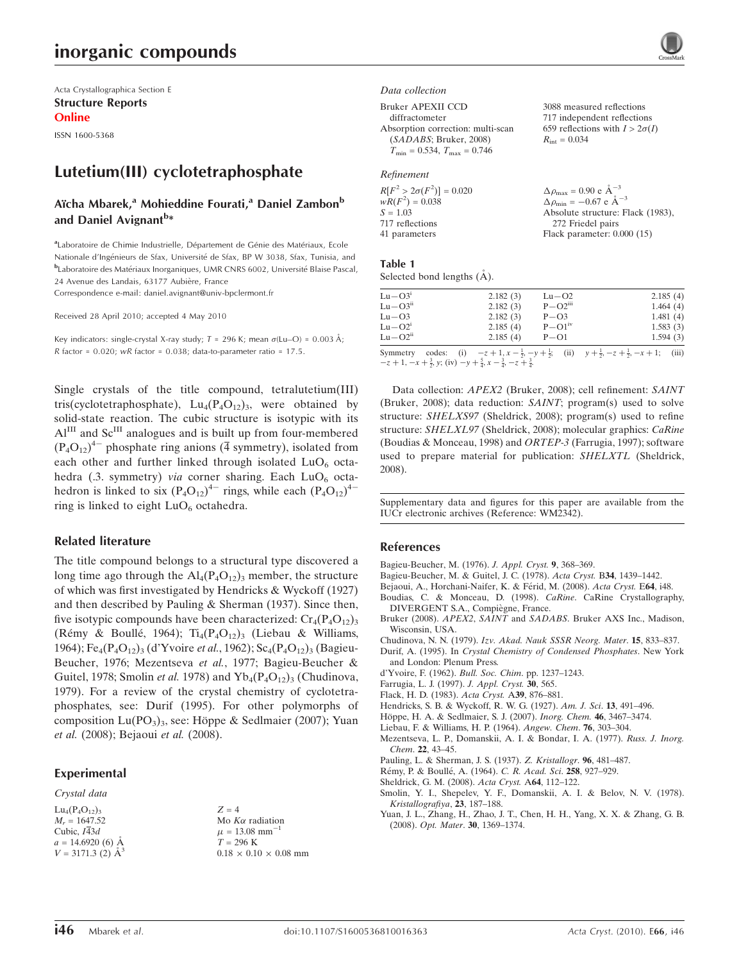# inorganic compounds

Acta Crystallographica Section E Structure Reports Online

ISSN 1600-5368

## Lutetium(III) cyclotetraphosphate

## Aïcha Mbarek,<sup>a</sup> Mohieddine Fourati,<sup>a</sup> Daniel Zambon<sup>b</sup> and Daniel Avignant<sup>b</sup>\*

<sup>a</sup>Laboratoire de Chimie Industrielle, Département de Génie des Matériaux, Ecole Nationale d'Ingénieurs de Sfax, Université de Sfax, BP W 3038, Sfax, Tunisia, and bLaboratoire des Matériaux Inorganiques, UMR CNRS 6002, Université Blaise Pascal, 24 Avenue des Landais, 63177 Aubière, France

Correspondence e-mail: daniel.avignant@univ-bpclermont.fr

Received 28 April 2010; accepted 4 May 2010

Key indicators: single-crystal X-ray study;  $T = 296$  K; mean  $\sigma$ (Lu–O) = 0.003 Å; R factor =  $0.020$ ; wR factor =  $0.038$ ; data-to-parameter ratio =  $17.5$ .

Single crystals of the title compound, tetralutetium(III) tris(cyclotetraphosphate),  $Lu_4(P_4O_{12})_3$ , were obtained by solid-state reaction. The cubic structure is isotypic with its  $Al<sup>III</sup>$  and  $Sc<sup>III</sup>$  analogues and is built up from four-membered  $(P_4O_{12})^4$  phosphate ring anions (4 symmetry), isolated from each other and further linked through isolated  $LuO<sub>6</sub>$  octahedra (.3. symmetry) *via* corner sharing. Each  $LuO<sub>6</sub>$  octahedron is linked to six  $(P_4O_{12})^{4-}$  rings, while each  $(P_4O_{12})^{4-}$ ring is linked to eight  $LuO<sub>6</sub>$  octahedra.

#### Related literature

The title compound belongs to a structural type discovered a long time ago through the  $\text{Al}_4(\text{P}_4\text{O}_{12})_3$  member, the structure of which was first investigated by Hendricks & Wyckoff (1927) and then described by Pauling & Sherman (1937). Since then, five isotypic compounds have been characterized:  $Cr_4(P_4O_{12})_3$ (Rémy & Boullé, 1964);  $Ti_4(P_4O_{12})_3$  (Liebau & Williams, 1964); Fe<sub>4</sub>(P<sub>4</sub>O<sub>12</sub>)<sub>3</sub> (d'Yvoire et al., 1962); Sc<sub>4</sub>(P<sub>4</sub>O<sub>12</sub>)<sub>3</sub> (Bagieu-Beucher, 1976; Mezentseva et al., 1977; Bagieu-Beucher & Guitel, 1978; Smolin et al. 1978) and  $Yb_4(P_4O_{12})_3$  (Chudinova, 1979). For a review of the crystal chemistry of cyclotetraphosphates, see: Durif (1995). For other polymorphs of composition Lu(PO<sub>3</sub>)<sub>3</sub>, see: Höppe & Sedlmaier (2007); Yuan et al. (2008); Bejaoui et al. (2008).

## Experimental

#### Crystal data

 $Lu_4(P_4O_{12})_3$  $M_r = 1647.52$ Cubic,  $I\overline{4}3d$  $a = 14.6920(6)$  Å  $V = 3171.3$  (2)  $\AA^3$   $Z = 4$ Mo  $K\alpha$  radiation  $\mu = 13.08$  mm<sup>-1</sup>  $T = 296$  K  $0.18\,\times\,0.10\,\times\,0.08$  mm Data collection

Bruker APEXII CCD

diffractometer Absorption correction: multi-scan (SADABS; Bruker, 2008)  $T_{\text{min}} = 0.534, T_{\text{max}} = 0.746$ 

#### Refinement

| $R[F^2 > 2\sigma(F^2)] = 0.020$ | $\Delta \rho_{\text{max}} = 0.90 \text{ e A}^{-3}$   |
|---------------------------------|------------------------------------------------------|
| $wR(F^2) = 0.038$               | $\Delta \rho_{\text{min}} = -0.67$ e $\rm{\AA}^{-3}$ |
| $S = 1.03$                      | Absolute structure: Flack (1983),                    |
| 717 reflections                 | 272 Friedel pairs                                    |
| 41 parameters                   | Flack parameter: $0.000(15)$                         |
|                                 |                                                      |

3088 measured reflections 717 independent reflections 659 reflections with  $I > 2\sigma(I)$ 

 $R_{\text{int}} = 0.034$ 

#### Table 1

Selected bond lengths  $(\AA)$ .

| 2.182(3)<br>$Lu - O3$<br>$Lu - O2^1$<br>2.185(4) | $P - O3$<br>$P-O1iv$ | 1.481(4)<br>1.583(3) |
|--------------------------------------------------|----------------------|----------------------|

Data collection: APEX2 (Bruker, 2008); cell refinement: SAINT (Bruker, 2008); data reduction: SAINT; program(s) used to solve structure: SHELXS97 (Sheldrick, 2008); program(s) used to refine structure: SHELXL97 (Sheldrick, 2008); molecular graphics: CaRine (Boudias & Monceau, 1998) and ORTEP-3 (Farrugia, 1997); software used to prepare material for publication: SHELXTL (Sheldrick, 2008).

Supplementary data and figures for this paper are available from the IUCr electronic archives (Reference: WM2342).

#### References

[Bagieu-Beucher, M. \(1976\).](https://scripts.iucr.org/cgi-bin/cr.cgi?rm=pdfbb&cnor=wm2342&bbid=BB1) J. Appl. Cryst. 9, 368–369.

- [Bagieu-Beucher, M. & Guitel, J. C. \(1978\).](https://scripts.iucr.org/cgi-bin/cr.cgi?rm=pdfbb&cnor=wm2342&bbid=BB2) Acta Cryst. B34, 1439–1442.
- Bejaoui, A., Horchani-Naifer, K. & Férid, M. (2008). Acta Cryst. E64, i48.
- [Boudias, C. & Monceau, D. \(1998\).](https://scripts.iucr.org/cgi-bin/cr.cgi?rm=pdfbb&cnor=wm2342&bbid=BB4) CaRine. CaRine Crystallography, DIVERGENT S.A., Compiègne, France.
- Bruker (2008). APEX2, SAINT and SADABS[. Bruker AXS Inc., Madison,](https://scripts.iucr.org/cgi-bin/cr.cgi?rm=pdfbb&cnor=wm2342&bbid=BB5) [Wisconsin, USA.](https://scripts.iucr.org/cgi-bin/cr.cgi?rm=pdfbb&cnor=wm2342&bbid=BB5)

Chudinova, N. N. (1979). [Izv. Akad. Nauk SSSR Neorg. Mater](https://scripts.iucr.org/cgi-bin/cr.cgi?rm=pdfbb&cnor=wm2342&bbid=BB6). 15, 833-837.

- Durif, A. (1995). In [Crystal Chemistry of Condensed Phosphates](https://scripts.iucr.org/cgi-bin/cr.cgi?rm=pdfbb&cnor=wm2342&bbid=BB7). New York [and London: Plenum Press.](https://scripts.iucr.org/cgi-bin/cr.cgi?rm=pdfbb&cnor=wm2342&bbid=BB7)
- [d'Yvoire, F. \(1962\).](https://scripts.iucr.org/cgi-bin/cr.cgi?rm=pdfbb&cnor=wm2342&bbid=BB19) Bull. Soc. Chim. pp. 1237–1243.

[Farrugia, L. J. \(1997\).](https://scripts.iucr.org/cgi-bin/cr.cgi?rm=pdfbb&cnor=wm2342&bbid=BB8) J. Appl. Cryst. 30, 565.

[Flack, H. D. \(1983\).](https://scripts.iucr.org/cgi-bin/cr.cgi?rm=pdfbb&cnor=wm2342&bbid=BB9) Acta Cryst. A39, 876–881.

[Hendricks, S. B. & Wyckoff, R. W. G. \(1927\).](https://scripts.iucr.org/cgi-bin/cr.cgi?rm=pdfbb&cnor=wm2342&bbid=BB10) Am. J. Sci. 13, 491–496.

- Höppe, H. A. & Sedlmaier, S. J. (2007). Inorg. Chem. 46, 3467-3474.
- [Liebau, F. & Williams, H. P. \(1964\).](https://scripts.iucr.org/cgi-bin/cr.cgi?rm=pdfbb&cnor=wm2342&bbid=BB12) Angew. Chem. 76, 303–304.
- [Mezentseva, L. P., Domanskii, A. I. & Bondar, I. A. \(1977\).](https://scripts.iucr.org/cgi-bin/cr.cgi?rm=pdfbb&cnor=wm2342&bbid=BB13) Russ. J. Inorg. Chem. 22[, 43–45.](https://scripts.iucr.org/cgi-bin/cr.cgi?rm=pdfbb&cnor=wm2342&bbid=BB13)
- [Pauling, L. & Sherman, J. S. \(1937\).](https://scripts.iucr.org/cgi-bin/cr.cgi?rm=pdfbb&cnor=wm2342&bbid=BB14) Z. Kristallogr. 96, 481–487.
- Rémy, P. & Boullé, A. (1964). C. R. Acad. Sci. 258, 927-929.
- [Sheldrick, G. M. \(2008\).](https://scripts.iucr.org/cgi-bin/cr.cgi?rm=pdfbb&cnor=wm2342&bbid=BB16) Acta Cryst. A64, 112–122.

[Smolin, Y. I., Shepelev, Y. F., Domanskii, A. I. & Belov, N. V. \(1978\).](https://scripts.iucr.org/cgi-bin/cr.cgi?rm=pdfbb&cnor=wm2342&bbid=BB17) [Kristallografiya](https://scripts.iucr.org/cgi-bin/cr.cgi?rm=pdfbb&cnor=wm2342&bbid=BB17), 23, 187–188.

[Yuan, J. L., Zhang, H., Zhao, J. T., Chen, H. H., Yang, X. X. & Zhang, G. B.](https://scripts.iucr.org/cgi-bin/cr.cgi?rm=pdfbb&cnor=wm2342&bbid=BB18) (2008). Opt. Mater. 30[, 1369–1374.](https://scripts.iucr.org/cgi-bin/cr.cgi?rm=pdfbb&cnor=wm2342&bbid=BB18)

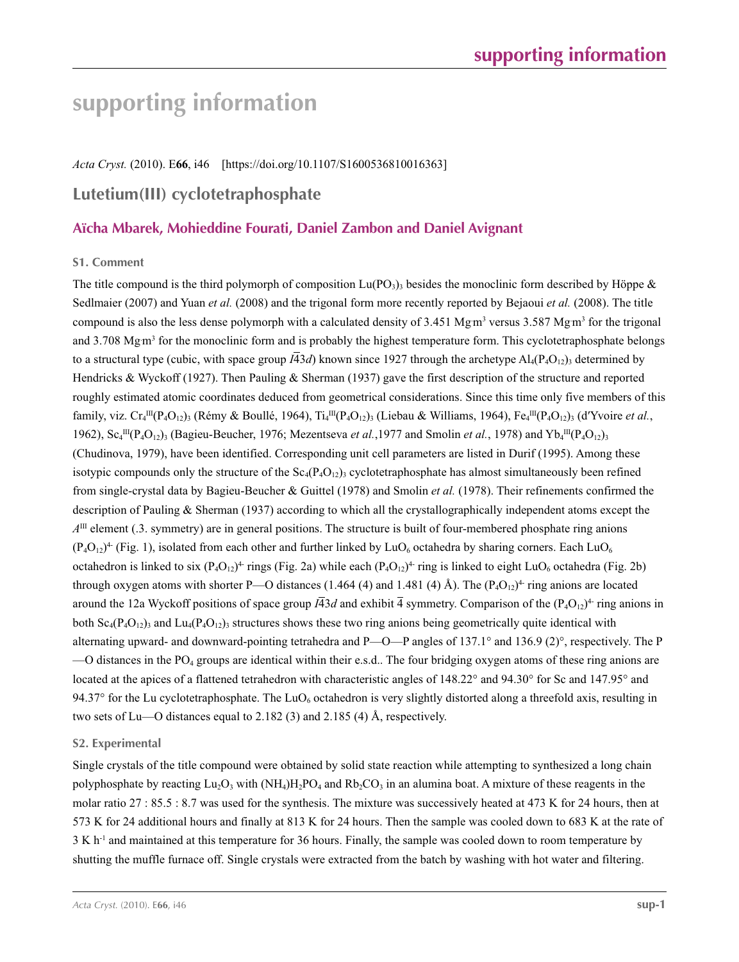# **supporting information**

*Acta Cryst.* (2010). E**66**, i46 [https://doi.org/10.1107/S1600536810016363]

## **Lutetium(III) cyclotetraphosphate**

## **Aïcha Mbarek, Mohieddine Fourati, Daniel Zambon and Daniel Avignant**

## **S1. Comment**

The title compound is the third polymorph of composition  $Lu(PO<sub>3</sub>)$ <sub>3</sub> besides the monoclinic form described by Höppe & Sedlmaier (2007) and Yuan *et al.* (2008) and the trigonal form more recently reported by Bejaoui *et al.* (2008). The title compound is also the less dense polymorph with a calculated density of  $3.451 \text{ Mg m}^3$  versus  $3.587 \text{ Mg m}^3$  for the trigonal and 3.708 Mgm<sup>3</sup> for the monoclinic form and is probably the highest temperature form. This cyclotetraphosphate belongs to a structural type (cubic, with space group  $I\overline{4}3d$ ) known since 1927 through the archetype  $Al_4(P_4O_{12})$ <sub>3</sub> determined by Hendricks & Wyckoff (1927). Then Pauling & Sherman (1937) gave the first description of the structure and reported roughly estimated atomic coordinates deduced from geometrical considerations. Since this time only five members of this family, viz. Cr<sub>4</sub><sup>III</sup>(P<sub>4</sub>O<sub>12</sub>)<sub>3</sub> (Rémy & Boullé, 1964), Ti<sub>4</sub><sup>III</sup>(P<sub>4</sub>O<sub>12</sub>)<sub>3</sub> (Liebau & Williams, 1964), Fe<sub>4</sub><sup>III</sup>(P<sub>4</sub>O<sub>12</sub>)<sub>3</sub> (d'Yvoire *et al.*, 1962),  $Sc_4^{III}(P_4O_{12})_3$  (Bagieu-Beucher, 1976; Mezentseva *et al.*, 1977 and Smolin *et al.*, 1978) and Yb<sub>4</sub><sup>III</sup>(P<sub>4</sub>O<sub>12</sub>)<sub>3</sub> (Chudinova, 1979), have been identified. Corresponding unit cell parameters are listed in Durif (1995). Among these isotypic compounds only the structure of the  $Sc_4(P_4O_{12})$  cyclotetraphosphate has almost simultaneously been refined from single-crystal data by Bagieu-Beucher & Guittel (1978) and Smolin *et al.* (1978). Their refinements confirmed the description of Pauling & Sherman (1937) according to which all the crystallographically independent atoms except the  $A<sup>III</sup>$  element (.3. symmetry) are in general positions. The structure is built of four-membered phosphate ring anions  $(P_4O_{12})^4$  (Fig. 1), isolated from each other and further linked by LuO<sub>6</sub> octahedra by sharing corners. Each LuO<sub>6</sub> octahedron is linked to six  $(P_4O_{12})^4$  rings (Fig. 2a) while each  $(P_4O_{12})^4$  ring is linked to eight LuO<sub>6</sub> octahedra (Fig. 2b) through oxygen atoms with shorter P—O distances (1.464 (4) and 1.481 (4) Å). The  $(P_4O_{12})^4$  ring anions are located around the 12a Wyckoff positions of space group  $I\bar{4}3d$  and exhibit  $\bar{4}$  symmetry. Comparison of the (P<sub>4</sub>O<sub>12</sub>)<sup>4</sup> ring anions in both  $Sc_4(P_4O_{12})_3$  and  $Lu_4(P_4O_{12})_3$  structures shows these two ring anions being geometrically quite identical with alternating upward- and downward-pointing tetrahedra and P—O—P angles of 137.1° and 136.9 (2)°, respectively. The P  $-$ O distances in the PO<sub>4</sub> groups are identical within their e.s.d.. The four bridging oxygen atoms of these ring anions are located at the apices of a flattened tetrahedron with characteristic angles of 148.22° and 94.30° for Sc and 147.95° and 94.37° for the Lu cyclotetraphosphate. The LuO<sub>6</sub> octahedron is very slightly distorted along a threefold axis, resulting in two sets of Lu—O distances equal to 2.182 (3) and 2.185 (4) Å, respectively.

## **S2. Experimental**

Single crystals of the title compound were obtained by solid state reaction while attempting to synthesized a long chain polyphosphate by reacting  $Lu_2O_3$  with  $(NH_4)H_2PO_4$  and  $Rb_2CO_3$  in an alumina boat. A mixture of these reagents in the molar ratio 27 : 85.5 : 8.7 was used for the synthesis. The mixture was successively heated at 473 K for 24 hours, then at 573 K for 24 additional hours and finally at 813 K for 24 hours. Then the sample was cooled down to 683 K at the rate of 3 K h<sup>-1</sup> and maintained at this temperature for 36 hours. Finally, the sample was cooled down to room temperature by shutting the muffle furnace off. Single crystals were extracted from the batch by washing with hot water and filtering.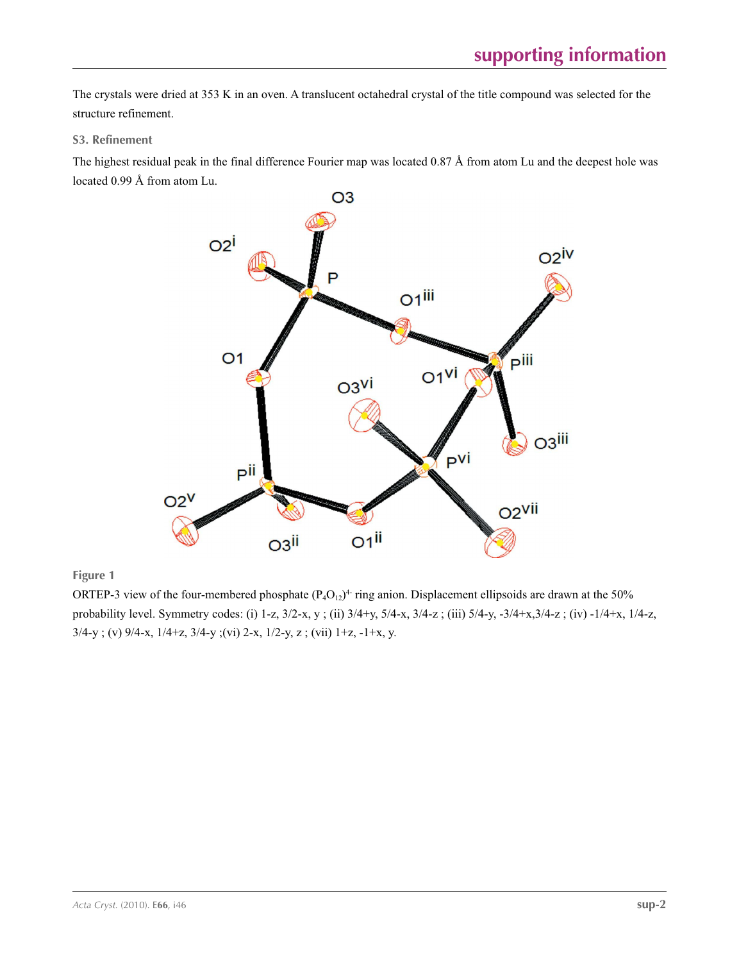The crystals were dried at 353 K in an oven. A translucent octahedral crystal of the title compound was selected for the structure refinement.

## **S3. Refinement**

The highest residual peak in the final difference Fourier map was located 0.87 Å from atom Lu and the deepest hole was located 0.99 Å from atom Lu.



**Figure 1**

ORTEP-3 view of the four-membered phosphate  $(P_4O_{12})^4$  ring anion. Displacement ellipsoids are drawn at the 50% probability level. Symmetry codes: (i) 1-z, 3/2-x, y ; (ii) 3/4+y, 5/4-x, 3/4-z ; (iii) 5/4-y, -3/4+x,3/4-z ; (iv) -1/4+x, 1/4-z, 3/4-y ; (v) 9/4-x, 1/4+z, 3/4-y ;(vi) 2-x, 1/2-y, z ; (vii) 1+z, -1+x, y.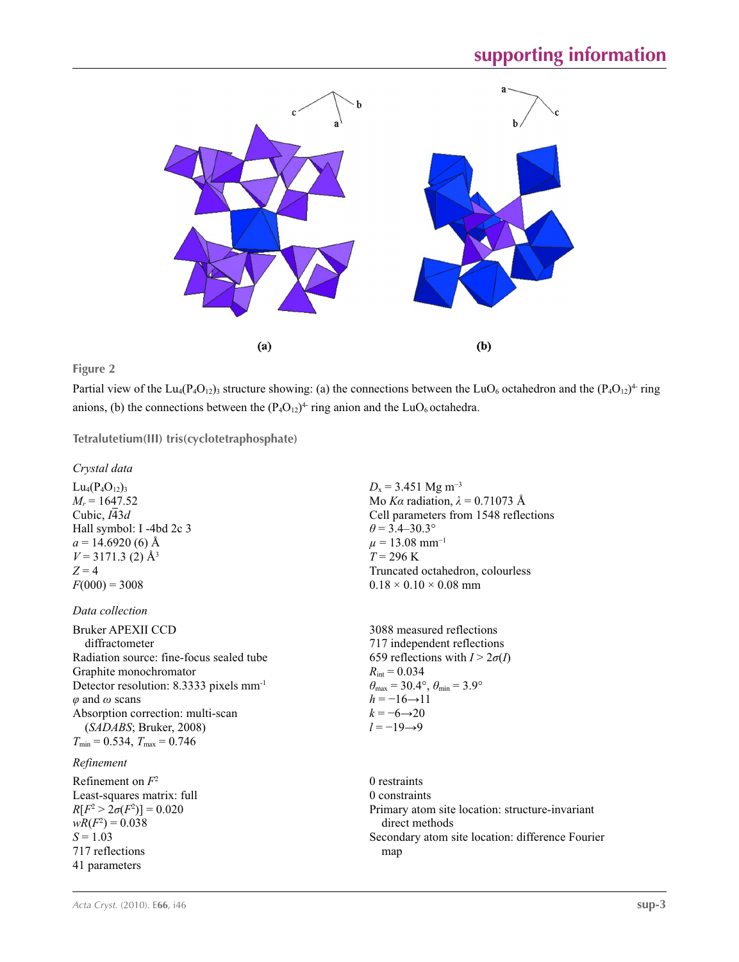

## **Figure 2**

Partial view of the Lu<sub>4</sub>(P<sub>4</sub>O<sub>12</sub>)<sub>3</sub> structure showing: (a) the connections between the LuO<sub>6</sub> octahedron and the (P<sub>4</sub>O<sub>12</sub>)<sup>4</sup> ring anions, (b) the connections between the  $(P_4O_{12})^4$  ring anion and the LuO<sub>6</sub> octahedra.

**Tetralutetium(III) tris(cyclotetraphosphate)** 

## *Crystal data*

 $Lu_4(P_4O_{12})_3$  $M_r = 1647.52$ Cubic,  $I\overline{4}3d$ Hall symbol: I -4bd 2c 3  $a = 14.6920(6)$  Å  $V = 3171.3$  (2)  $\AA^3$  $Z = 4$  $F(000) = 3008$ 

## *Data collection*

Bruker APEXII CCD diffractometer Radiation source: fine-focus sealed tube Graphite monochromator Detector resolution: 8.3333 pixels mm-1 *φ* and *ω* scans Absorption correction: multi-scan (*SADABS*; Bruker, 2008)  $T_{\text{min}} = 0.534, T_{\text{max}} = 0.746$ 

## *Refinement*

Refinement on *F*<sup>2</sup> Least-squares matrix: full  $R[F^2 > 2\sigma(F^2)] = 0.020$  $wR(F^2) = 0.038$  $S = 1.03$ 717 reflections 41 parameters

 $D_x$  = 3.451 Mg m<sup>-3</sup> Mo *Kα* radiation, *λ* = 0.71073 Å Cell parameters from 1548 reflections  $\theta$  = 3.4–30.3°  $\mu = 13.08$  mm<sup>-1</sup>  $T = 296$  K Truncated octahedron, colourless  $0.18 \times 0.10 \times 0.08$  mm

3088 measured reflections 717 independent reflections 659 reflections with  $I > 2\sigma(I)$  $R_{\text{int}} = 0.034$  $\theta_{\text{max}} = 30.4^{\circ}, \theta_{\text{min}} = 3.9^{\circ}$  $h = -16 \rightarrow 11$  $k = -6 \rightarrow 20$ *l* = −19→9

0 restraints 0 constraints Primary atom site location: structure-invariant direct methods Secondary atom site location: difference Fourier map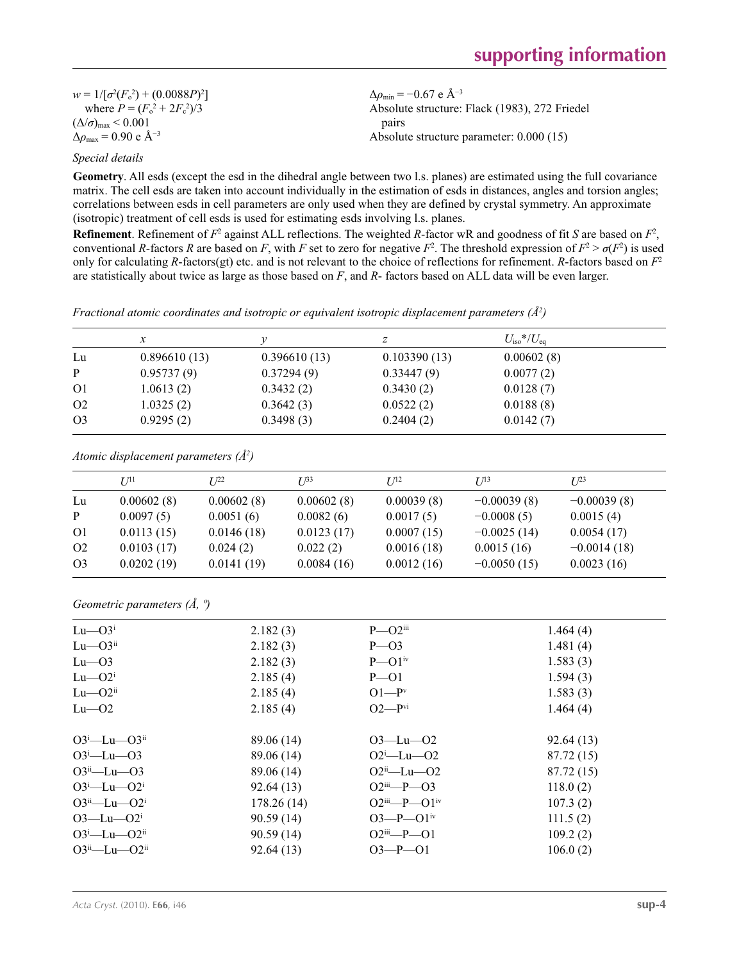$w = 1/[\sigma^2 (F_o^2) + (0.0088P)^2]$ where  $P = (F_o^2 + 2F_c^2)/3$  $(\Delta/\sigma)_{\text{max}}$  < 0.001  $\Delta\rho_{\text{max}} = 0.90 \text{ e A}^{-3}$ 

 $\Delta\rho_{\rm min}$  = −0.67 e Å<sup>-3</sup> Absolute structure: Flack (1983), 272 Friedel pairs Absolute structure parameter: 0.000 (15)

## *Special details*

**Geometry**. All esds (except the esd in the dihedral angle between two l.s. planes) are estimated using the full covariance matrix. The cell esds are taken into account individually in the estimation of esds in distances, angles and torsion angles; correlations between esds in cell parameters are only used when they are defined by crystal symmetry. An approximate (isotropic) treatment of cell esds is used for estimating esds involving l.s. planes.

**Refinement**. Refinement of  $F^2$  against ALL reflections. The weighted R-factor wR and goodness of fit *S* are based on  $F^2$ , conventional *R*-factors *R* are based on *F*, with *F* set to zero for negative  $F^2$ . The threshold expression of  $F^2 > \sigma(F^2)$  is used only for calculating *R*-factors(gt) etc. and is not relevant to the choice of reflections for refinement. *R*-factors based on *F*<sup>2</sup> are statistically about twice as large as those based on *F*, and *R*- factors based on ALL data will be even larger.

*Fractional atomic coordinates and isotropic or equivalent isotropic displacement parameters (Å2 )*

|                | x            |              | ∠            | $U_{\rm iso}*/U_{\rm eq}$ |
|----------------|--------------|--------------|--------------|---------------------------|
| Lu             | 0.896610(13) | 0.396610(13) | 0.103390(13) | 0.00602(8)                |
| P              | 0.95737(9)   | 0.37294(9)   | 0.33447(9)   | 0.0077(2)                 |
| <sup>O1</sup>  | 1.0613(2)    | 0.3432(2)    | 0.3430(2)    | 0.0128(7)                 |
| O <sub>2</sub> | 1.0325(2)    | 0.3642(3)    | 0.0522(2)    | 0.0188(8)                 |
| O <sub>3</sub> | 0.9295(2)    | 0.3498(3)    | 0.2404(2)    | 0.0142(7)                 |

*Atomic displacement parameters (Å2 )*

|                | $U^{11}$   | $I^{22}$   | I 133      | I/I <sup>2</sup> | I/13          | $L^{23}$      |
|----------------|------------|------------|------------|------------------|---------------|---------------|
| Lu             | 0.00602(8) | 0.00602(8) | 0.00602(8) | 0.00039(8)       | $-0.00039(8)$ | $-0.00039(8)$ |
| P              | 0.0097(5)  | 0.0051(6)  | 0.0082(6)  | 0.0017(5)        | $-0.0008(5)$  | 0.0015(4)     |
| O <sub>1</sub> | 0.0113(15) | 0.0146(18) | 0.0123(17) | 0.0007(15)       | $-0.0025(14)$ | 0.0054(17)    |
| O <sub>2</sub> | 0.0103(17) | 0.024(2)   | 0.022(2)   | 0.0016(18)       | 0.0015(16)    | $-0.0014(18)$ |
| O <sub>3</sub> | 0.0202(19) | 0.0141(19) | 0.0084(16) | 0.0012(16)       | $-0.0050(15)$ | 0.0023(16)    |

*Geometric parameters (Å, º)*

| $Lu$ — $O3^i$              | 2.182(3)   | $P - O2$ <sup>iii</sup>      | 1.464(4)    |  |
|----------------------------|------------|------------------------------|-------------|--|
| $Lu$ — $O3ii$              | 2.182(3)   | $P - O3$                     | 1.481 $(4)$ |  |
| $Lu$ — $O3$                | 2.182(3)   | $P\rightarrow O1^{iv}$       | 1.583(3)    |  |
| $Lu$ — $O2^i$              | 2.185(4)   | $P \rightarrow O1$           | 1.594(3)    |  |
| $Lu$ — $O2^u$              | 2.185(4)   | $O1-Pv$                      | 1.583(3)    |  |
| $Lu$ — $O2$                | 2.185(4)   | $O2-Pvi$                     | 1.464(4)    |  |
| $O3^i$ -Lu- $O3^i$         | 89.06 (14) | $O3$ —Lu— $O2$               | 92.64(13)   |  |
| $O3^i$ -Lu- $O3$           | 89.06 (14) | $O2^i$ -Lu- $O2$             | 87.72 (15)  |  |
| $O3^{\text{ii}} - Lu - O3$ | 89.06 (14) | $O2ii$ -Lu- $O2$             | 87.72 (15)  |  |
| $O3^i$ -Lu- $O2^i$         | 92.64(13)  | $O2$ <sup>iii</sup> —P— $O3$ | 118.0(2)    |  |
| $O3^{ii}$ —Lu— $O2^{i}$    | 178.26(14) | $O2^{iii}$ $P$ $O1^{iv}$     | 107.3(2)    |  |
| $O3$ —Lu— $O2^i$           | 90.59(14)  | $O3-P-O1^{iv}$               | 111.5(2)    |  |
| $O3^i$ -Lu- $O2^{ii}$      | 90.59(14)  | $O2$ <sup>iii</sup> —P—O1    | 109.2(2)    |  |
| $O3^{ii}$ —Lu— $O2^{ii}$   | 92.64(13)  | $O3 - P - O1$                | 106.0(2)    |  |
|                            |            |                              |             |  |